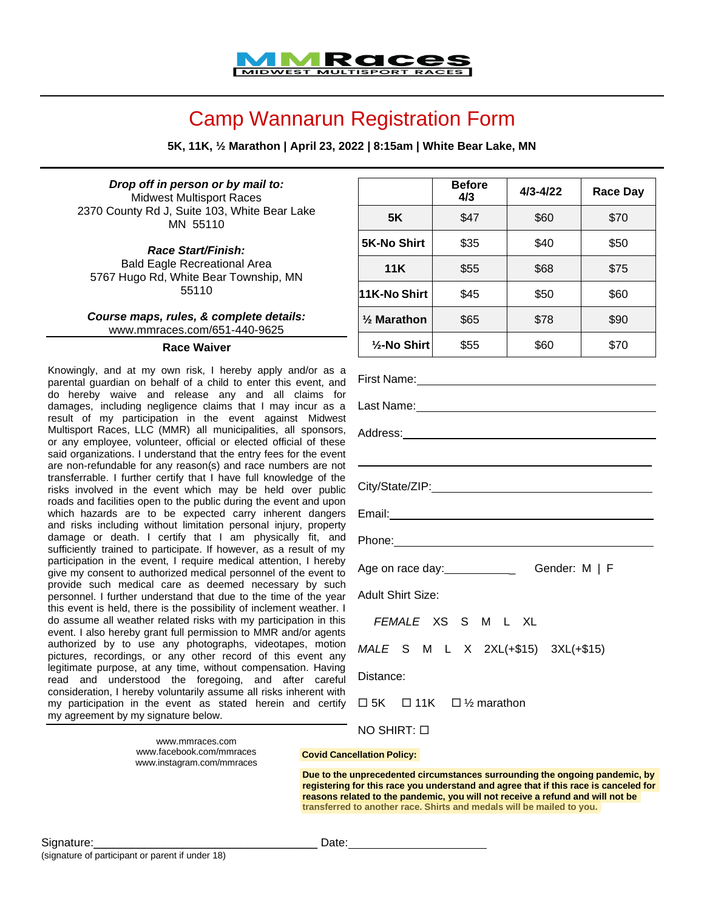

## Camp Wannarun Registration Form

**5K, 11K, ½ Marathon | April 23, 2022 | 8:15am | White Bear Lake, MN**

*Drop off in person or by mail to:* Midwest Multisport Races [2370 County Rd J, Suite 103, White Bear Lake](https://maps.google.com/?q=2370%2BCounty%2BRd%2BJ%2C%2BSuite%2B103%0D%2BWhite%2BBear%2BLake%2BMN%C2%A0%2B55110&entry=gmail&source=g) [MN](https://maps.google.com/?q=2370%2BCounty%2BRd%2BJ%2C%2BSuite%2B103%0D%2BWhite%2BBear%2BLake%2BMN%C2%A0%2B55110&entry=gmail&source=g) [55110](https://maps.google.com/?q=2370%2BCounty%2BRd%2BJ%2C%2BSuite%2B103%0D%2BWhite%2BBear%2BLake%2BMN%C2%A0%2B55110&entry=gmail&source=g)

*Race Start/Finish:* Bald Eagle Recreational Area 5767 Hugo Rd, White Bear Township, MN 55110

*Course maps, rules, & complete details:* [www.mmraces.com/651-440-9625](http://www.mmraces.com/651-440-9625)

## **Race Waiver**

Knowingly, and at my own risk, I hereby apply and/or as a parental guardian on behalf of a child to enter this event, and do hereby waive and release any and all claims for damages, including negligence claims that I may incur as a result of my participation in the event against Midwest Multisport Races, LLC (MMR) all municipalities, all sponsors, or any employee, volunteer, official or elected official of these said organizations. I understand that the entry fees for the event are non-refundable for any reason(s) and race numbers are not transferrable. I further certify that I have full knowledge of the risks involved in the event which may be held over public roads and facilities open to the public during the event and upon which hazards are to be expected carry inherent dangers and risks including without limitation personal injury, property damage or death. I certify that I am physically fit, and sufficiently trained to participate. If however, as a result of my participation in the event, I require medical attention, I hereby give my consent to authorized medical personnel of the event to provide such medical care as deemed necessary by such personnel. I further understand that due to the time of the year this event is held, there is the possibility of inclement weather. I do assume all weather related risks with my participation in this event. I also hereby grant full permission to MMR and/or agents authorized by to use any photographs, videotapes, motion pictures, recordings, or any other record of this event any legitimate purpose, at any time, without compensation. Having read and understood the foregoing, and after careful consideration, I hereby voluntarily assume all risks inherent with my participation in the event as stated herein and certify my agreement by my signature below.

> [www.mmraces.com](http://www.mmraces.com/) [www.facebook.com/mmraces](http://www.facebook.com/mmraces) [www.instagram.com/mmraces](http://www.instagram.com/mmraces)

|                           | <b>Before</b><br>4/3 | $4/3 - 4/22$ | <b>Race Day</b> |
|---------------------------|----------------------|--------------|-----------------|
| <b>5K</b>                 | \$47                 | \$60         | \$70            |
| <b>5K-No Shirt</b>        | \$35                 | \$40         | \$50            |
| 11K                       | \$55                 | \$68         | \$75            |
| 11K-No Shirt              | \$45                 | \$50         | \$60            |
| $\frac{1}{2}$ Marathon    | \$65                 | \$78         | \$90            |
| 1/ <sub>2</sub> -No Shirt | \$55                 | \$60         | \$70            |

 $\Box$  5K  $\Box$  11K  $\Box$  1/<sub>2</sub> marathon

NO SHIRT:

**Covid Cancellation Policy:**

**reasons related to the pandemic, you will not receive a refund and will not be registering for this race you understand and agree that if this race is canceled for Due to the unprecedented circumstances surrounding the ongoing pandemic, by transferred to another race. Shirts and medals will be mailed to you.**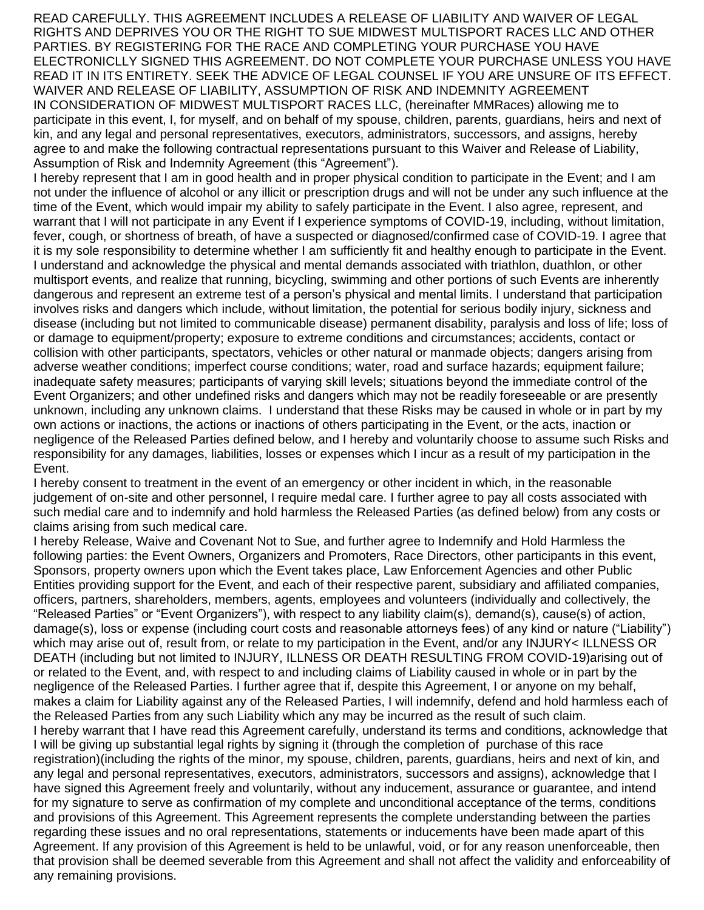READ CAREFULLY. THIS AGREEMENT INCLUDES A RELEASE OF LIABILITY AND WAIVER OF LEGAL RIGHTS AND DEPRIVES YOU OR THE RIGHT TO SUE MIDWEST MULTISPORT RACES LLC AND OTHER PARTIES. BY REGISTERING FOR THE RACE AND COMPLETING YOUR PURCHASE YOU HAVE ELECTRONICLLY SIGNED THIS AGREEMENT. DO NOT COMPLETE YOUR PURCHASE UNLESS YOU HAVE READ IT IN ITS ENTIRETY. SEEK THE ADVICE OF LEGAL COUNSEL IF YOU ARE UNSURE OF ITS EFFECT. WAIVER AND RELEASE OF LIABILITY, ASSUMPTION OF RISK AND INDEMNITY AGREEMENT IN CONSIDERATION OF MIDWEST MULTISPORT RACES LLC, (hereinafter MMRaces) allowing me to participate in this event, I, for myself, and on behalf of my spouse, children, parents, guardians, heirs and next of kin, and any legal and personal representatives, executors, administrators, successors, and assigns, hereby agree to and make the following contractual representations pursuant to this Waiver and Release of Liability, Assumption of Risk and Indemnity Agreement (this "Agreement").

I hereby represent that I am in good health and in proper physical condition to participate in the Event; and I am not under the influence of alcohol or any illicit or prescription drugs and will not be under any such influence at the time of the Event, which would impair my ability to safely participate in the Event. I also agree, represent, and warrant that I will not participate in any Event if I experience symptoms of COVID-19, including, without limitation, fever, cough, or shortness of breath, of have a suspected or diagnosed/confirmed case of COVID-19. I agree that it is my sole responsibility to determine whether I am sufficiently fit and healthy enough to participate in the Event. I understand and acknowledge the physical and mental demands associated with triathlon, duathlon, or other multisport events, and realize that running, bicycling, swimming and other portions of such Events are inherently dangerous and represent an extreme test of a person's physical and mental limits. I understand that participation involves risks and dangers which include, without limitation, the potential for serious bodily injury, sickness and disease (including but not limited to communicable disease) permanent disability, paralysis and loss of life; loss of or damage to equipment/property; exposure to extreme conditions and circumstances; accidents, contact or collision with other participants, spectators, vehicles or other natural or manmade objects; dangers arising from adverse weather conditions; imperfect course conditions; water, road and surface hazards; equipment failure; inadequate safety measures; participants of varying skill levels; situations beyond the immediate control of the Event Organizers; and other undefined risks and dangers which may not be readily foreseeable or are presently unknown, including any unknown claims. I understand that these Risks may be caused in whole or in part by my own actions or inactions, the actions or inactions of others participating in the Event, or the acts, inaction or negligence of the Released Parties defined below, and I hereby and voluntarily choose to assume such Risks and responsibility for any damages, liabilities, losses or expenses which I incur as a result of my participation in the Event.

I hereby consent to treatment in the event of an emergency or other incident in which, in the reasonable judgement of on-site and other personnel, I require medal care. I further agree to pay all costs associated with such medial care and to indemnify and hold harmless the Released Parties (as defined below) from any costs or claims arising from such medical care.

I hereby Release, Waive and Covenant Not to Sue, and further agree to Indemnify and Hold Harmless the following parties: the Event Owners, Organizers and Promoters, Race Directors, other participants in this event, Sponsors, property owners upon which the Event takes place, Law Enforcement Agencies and other Public Entities providing support for the Event, and each of their respective parent, subsidiary and affiliated companies, officers, partners, shareholders, members, agents, employees and volunteers (individually and collectively, the "Released Parties" or "Event Organizers"), with respect to any liability claim(s), demand(s), cause(s) of action, damage(s), loss or expense (including court costs and reasonable attorneys fees) of any kind or nature ("Liability") which may arise out of, result from, or relate to my participation in the Event, and/or any INJURY< ILLNESS OR DEATH (including but not limited to INJURY, ILLNESS OR DEATH RESULTING FROM COVID-19)arising out of or related to the Event, and, with respect to and including claims of Liability caused in whole or in part by the negligence of the Released Parties. I further agree that if, despite this Agreement, I or anyone on my behalf, makes a claim for Liability against any of the Released Parties, I will indemnify, defend and hold harmless each of the Released Parties from any such Liability which any may be incurred as the result of such claim. I hereby warrant that I have read this Agreement carefully, understand its terms and conditions, acknowledge that I will be giving up substantial legal rights by signing it (through the completion of purchase of this race registration)(including the rights of the minor, my spouse, children, parents, guardians, heirs and next of kin, and any legal and personal representatives, executors, administrators, successors and assigns), acknowledge that I have signed this Agreement freely and voluntarily, without any inducement, assurance or guarantee, and intend for my signature to serve as confirmation of my complete and unconditional acceptance of the terms, conditions and provisions of this Agreement. This Agreement represents the complete understanding between the parties regarding these issues and no oral representations, statements or inducements have been made apart of this Agreement. If any provision of this Agreement is held to be unlawful, void, or for any reason unenforceable, then that provision shall be deemed severable from this Agreement and shall not affect the validity and enforceability of any remaining provisions.